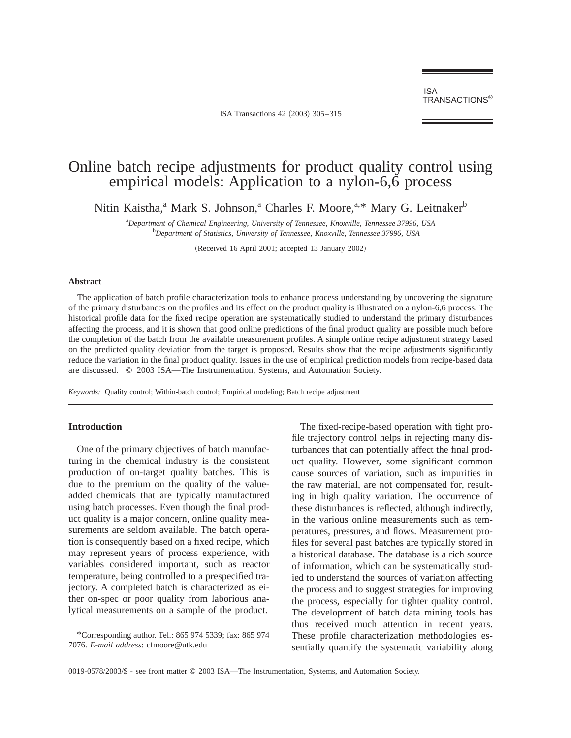ISA

ISA Transactions 42 (2003) 305-315

# Online batch recipe adjustments for product quality control using empirical models: Application to a nylon-6,6 process

Nitin Kaistha,<sup>a</sup> Mark S. Johnson,<sup>a</sup> Charles F. Moore,<sup>a,\*</sup> Mary G. Leitnaker<sup>b</sup>

a *Department of Chemical Engineering, University of Tennessee, Knoxville, Tennessee 37996, USA* b *Department of Statistics, University of Tennessee, Knoxville, Tennessee 37996, USA*

(Received 16 April 2001; accepted 13 January 2002)

### **Abstract**

The application of batch profile characterization tools to enhance process understanding by uncovering the signature of the primary disturbances on the profiles and its effect on the product quality is illustrated on a nylon-6,6 process. The historical profile data for the fixed recipe operation are systematically studied to understand the primary disturbances affecting the process, and it is shown that good online predictions of the final product quality are possible much before the completion of the batch from the available measurement profiles. A simple online recipe adjustment strategy based on the predicted quality deviation from the target is proposed. Results show that the recipe adjustments significantly reduce the variation in the final product quality. Issues in the use of empirical prediction models from recipe-based data are discussed. © 2003 ISA—The Instrumentation, Systems, and Automation Society.

*Keywords:* Quality control; Within-batch control; Empirical modeling; Batch recipe adjustment

#### **Introduction**

One of the primary objectives of batch manufacturing in the chemical industry is the consistent production of on-target quality batches. This is due to the premium on the quality of the valueadded chemicals that are typically manufactured using batch processes. Even though the final product quality is a major concern, online quality measurements are seldom available. The batch operation is consequently based on a fixed recipe, which may represent years of process experience, with variables considered important, such as reactor temperature, being controlled to a prespecified trajectory. A completed batch is characterized as either on-spec or poor quality from laborious analytical measurements on a sample of the product.

The fixed-recipe-based operation with tight profile trajectory control helps in rejecting many disturbances that can potentially affect the final product quality. However, some significant common cause sources of variation, such as impurities in the raw material, are not compensated for, resulting in high quality variation. The occurrence of these disturbances is reflected, although indirectly, in the various online measurements such as temperatures, pressures, and flows. Measurement profiles for several past batches are typically stored in a historical database. The database is a rich source of information, which can be systematically studied to understand the sources of variation affecting the process and to suggest strategies for improving the process, especially for tighter quality control. The development of batch data mining tools has thus received much attention in recent years. These profile characterization methodologies essentially quantify the systematic variability along

<sup>\*</sup>Corresponding author. Tel.: 865 974 5339; fax: 865 974 7076. *E-mail address*: cfmoore@utk.edu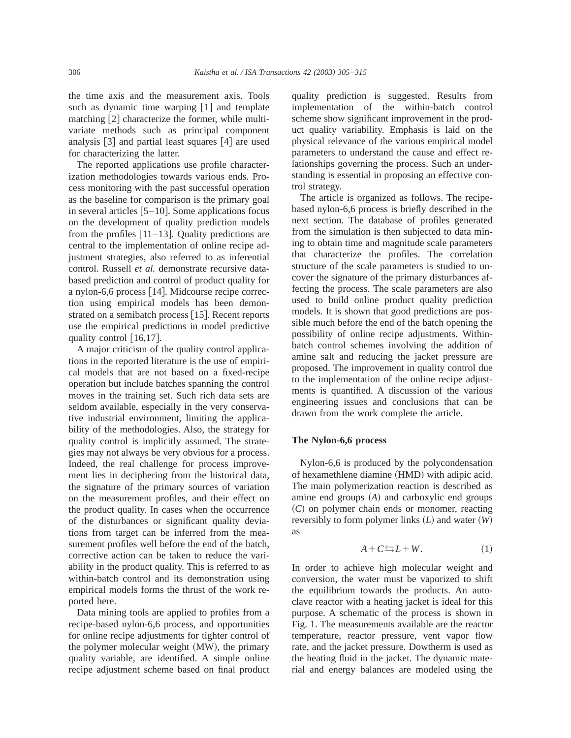the time axis and the measurement axis. Tools such as dynamic time warping  $[1]$  and template matching  $[2]$  characterize the former, while multivariate methods such as principal component analysis  $\lceil 3 \rceil$  and partial least squares  $\lceil 4 \rceil$  are used for characterizing the latter.

The reported applications use profile characterization methodologies towards various ends. Process monitoring with the past successful operation as the baseline for comparison is the primary goal in several articles  $[5-10]$ . Some applications focus on the development of quality prediction models from the profiles  $[11–13]$ . Quality predictions are central to the implementation of online recipe adjustment strategies, also referred to as inferential control. Russell *et al.* demonstrate recursive databased prediction and control of product quality for a nylon-6,6 process  $[14]$ . Midcourse recipe correction using empirical models has been demonstrated on a semibatch process  $[15]$ . Recent reports use the empirical predictions in model predictive quality control  $[16,17]$ .

A major criticism of the quality control applications in the reported literature is the use of empirical models that are not based on a fixed-recipe operation but include batches spanning the control moves in the training set. Such rich data sets are seldom available, especially in the very conservative industrial environment, limiting the applicability of the methodologies. Also, the strategy for quality control is implicitly assumed. The strategies may not always be very obvious for a process. Indeed, the real challenge for process improvement lies in deciphering from the historical data, the signature of the primary sources of variation on the measurement profiles, and their effect on the product quality. In cases when the occurrence of the disturbances or significant quality deviations from target can be inferred from the measurement profiles well before the end of the batch, corrective action can be taken to reduce the variability in the product quality. This is referred to as within-batch control and its demonstration using empirical models forms the thrust of the work reported here.

Data mining tools are applied to profiles from a recipe-based nylon-6,6 process, and opportunities for online recipe adjustments for tighter control of the polymer molecular weight  $(MW)$ , the primary quality variable, are identified. A simple online recipe adjustment scheme based on final product

quality prediction is suggested. Results from implementation of the within-batch control scheme show significant improvement in the product quality variability. Emphasis is laid on the physical relevance of the various empirical model parameters to understand the cause and effect relationships governing the process. Such an understanding is essential in proposing an effective control strategy.

The article is organized as follows. The recipebased nylon-6,6 process is briefly described in the next section. The database of profiles generated from the simulation is then subjected to data mining to obtain time and magnitude scale parameters that characterize the profiles. The correlation structure of the scale parameters is studied to uncover the signature of the primary disturbances affecting the process. The scale parameters are also used to build online product quality prediction models. It is shown that good predictions are possible much before the end of the batch opening the possibility of online recipe adjustments. Withinbatch control schemes involving the addition of amine salt and reducing the jacket pressure are proposed. The improvement in quality control due to the implementation of the online recipe adjustments is quantified. A discussion of the various engineering issues and conclusions that can be drawn from the work complete the article.

## **The Nylon-6,6 process**

Nylon-6,6 is produced by the polycondensation of hexamethlene diamine (HMD) with adipic acid. The main polymerization reaction is described as amine end groups  $(A)$  and carboxylic end groups ~*C*! on polymer chain ends or monomer, reacting reversibly to form polymer links  $(L)$  and water  $(W)$ as

$$
A + C \hookrightarrow L + W. \tag{1}
$$

In order to achieve high molecular weight and conversion, the water must be vaporized to shift the equilibrium towards the products. An autoclave reactor with a heating jacket is ideal for this purpose. A schematic of the process is shown in Fig. 1. The measurements available are the reactor temperature, reactor pressure, vent vapor flow rate, and the jacket pressure. Dowtherm is used as the heating fluid in the jacket. The dynamic material and energy balances are modeled using the